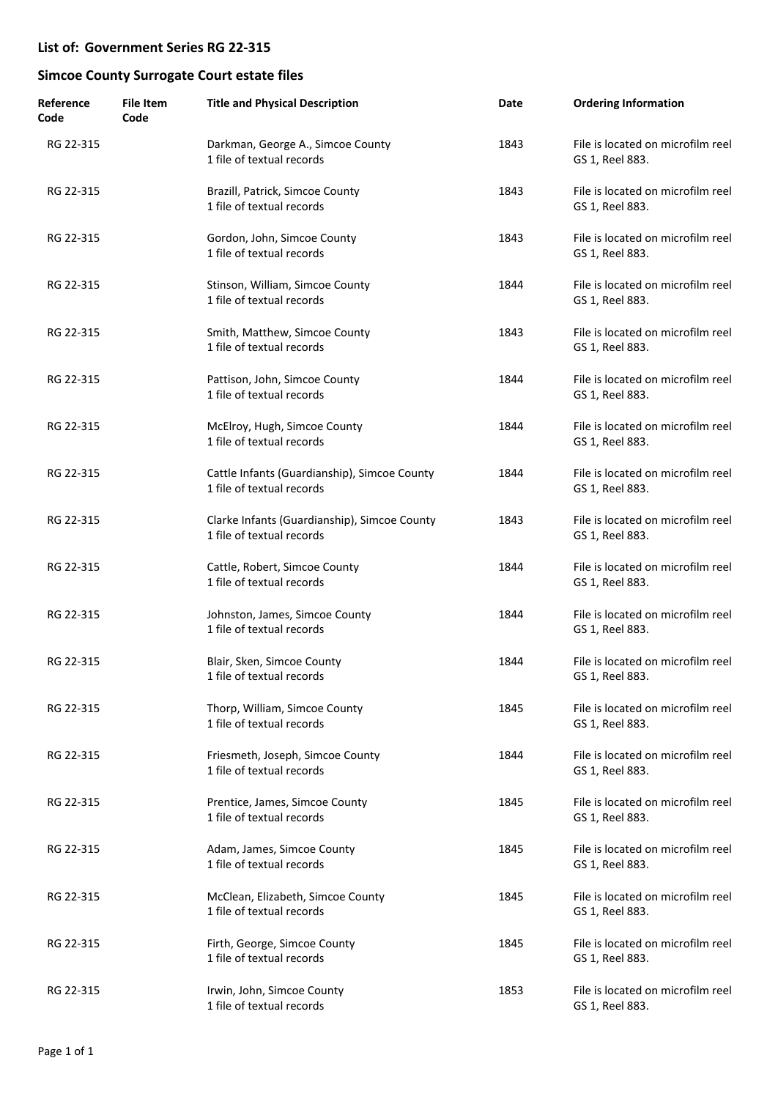| Reference<br>Code | File Item<br>Code | <b>Title and Physical Description</b>                                     | Date | <b>Ordering Information</b>                          |
|-------------------|-------------------|---------------------------------------------------------------------------|------|------------------------------------------------------|
| RG 22-315         |                   | Darkman, George A., Simcoe County<br>1 file of textual records            | 1843 | File is located on microfilm reel<br>GS 1, Reel 883. |
| RG 22-315         |                   | Brazill, Patrick, Simcoe County<br>1 file of textual records              | 1843 | File is located on microfilm reel<br>GS 1, Reel 883. |
| RG 22-315         |                   | Gordon, John, Simcoe County<br>1 file of textual records                  | 1843 | File is located on microfilm reel<br>GS 1, Reel 883. |
| RG 22-315         |                   | Stinson, William, Simcoe County<br>1 file of textual records              | 1844 | File is located on microfilm reel<br>GS 1, Reel 883. |
| RG 22-315         |                   | Smith, Matthew, Simcoe County<br>1 file of textual records                | 1843 | File is located on microfilm reel<br>GS 1, Reel 883. |
| RG 22-315         |                   | Pattison, John, Simcoe County<br>1 file of textual records                | 1844 | File is located on microfilm reel<br>GS 1, Reel 883. |
| RG 22-315         |                   | McElroy, Hugh, Simcoe County<br>1 file of textual records                 | 1844 | File is located on microfilm reel<br>GS 1, Reel 883. |
| RG 22-315         |                   | Cattle Infants (Guardianship), Simcoe County<br>1 file of textual records | 1844 | File is located on microfilm reel<br>GS 1, Reel 883. |
| RG 22-315         |                   | Clarke Infants (Guardianship), Simcoe County<br>1 file of textual records | 1843 | File is located on microfilm reel<br>GS 1, Reel 883. |
| RG 22-315         |                   | Cattle, Robert, Simcoe County<br>1 file of textual records                | 1844 | File is located on microfilm reel<br>GS 1, Reel 883. |
| RG 22-315         |                   | Johnston, James, Simcoe County<br>1 file of textual records               | 1844 | File is located on microfilm reel<br>GS 1, Reel 883. |
| RG 22-315         |                   | Blair, Sken, Simcoe County<br>1 file of textual records                   | 1844 | File is located on microfilm reel<br>GS 1, Reel 883. |
| RG 22-315         |                   | Thorp, William, Simcoe County<br>1 file of textual records                | 1845 | File is located on microfilm reel<br>GS 1, Reel 883. |
| RG 22-315         |                   | Friesmeth, Joseph, Simcoe County<br>1 file of textual records             | 1844 | File is located on microfilm reel<br>GS 1, Reel 883. |
| RG 22-315         |                   | Prentice, James, Simcoe County<br>1 file of textual records               | 1845 | File is located on microfilm reel<br>GS 1, Reel 883. |
| RG 22-315         |                   | Adam, James, Simcoe County<br>1 file of textual records                   | 1845 | File is located on microfilm reel<br>GS 1, Reel 883. |
| RG 22-315         |                   | McClean, Elizabeth, Simcoe County<br>1 file of textual records            | 1845 | File is located on microfilm reel<br>GS 1, Reel 883. |
| RG 22-315         |                   | Firth, George, Simcoe County<br>1 file of textual records                 | 1845 | File is located on microfilm reel<br>GS 1, Reel 883. |
| RG 22-315         |                   | Irwin, John, Simcoe County<br>1 file of textual records                   | 1853 | File is located on microfilm reel<br>GS 1, Reel 883. |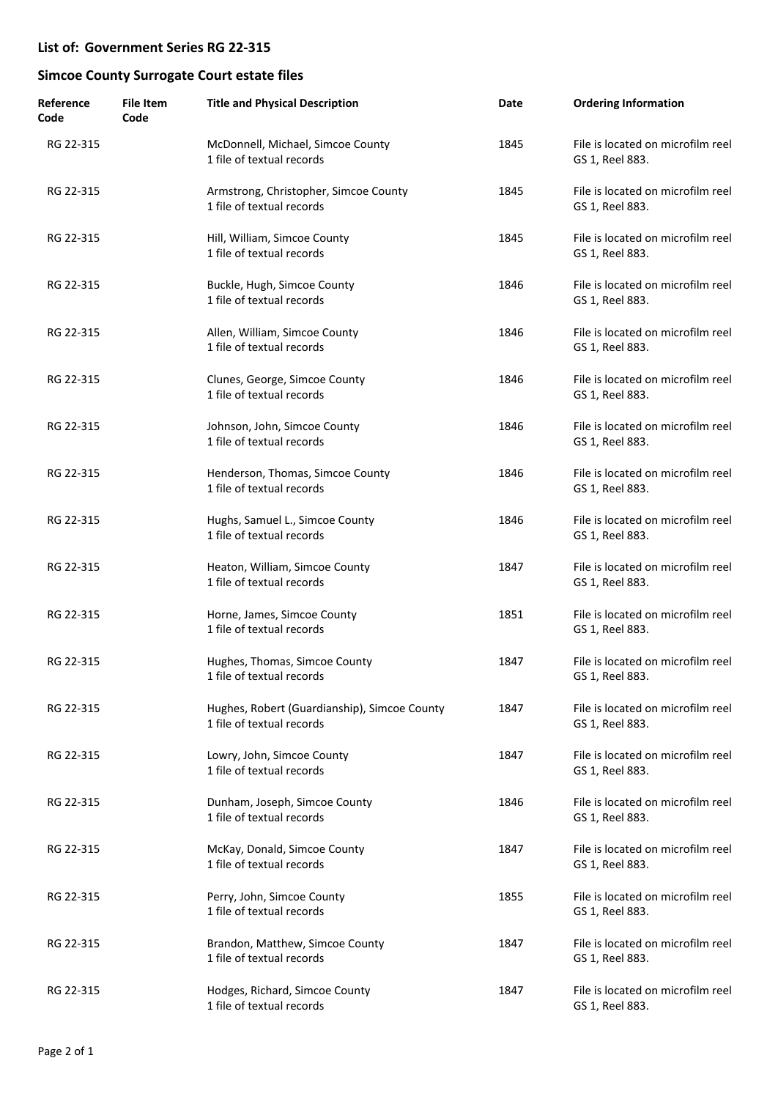| Reference<br>Code | File Item<br>Code | <b>Title and Physical Description</b>                                     | Date | <b>Ordering Information</b>                          |
|-------------------|-------------------|---------------------------------------------------------------------------|------|------------------------------------------------------|
| RG 22-315         |                   | McDonnell, Michael, Simcoe County<br>1 file of textual records            | 1845 | File is located on microfilm reel<br>GS 1, Reel 883. |
| RG 22-315         |                   | Armstrong, Christopher, Simcoe County<br>1 file of textual records        | 1845 | File is located on microfilm reel<br>GS 1, Reel 883. |
| RG 22-315         |                   | Hill, William, Simcoe County<br>1 file of textual records                 | 1845 | File is located on microfilm reel<br>GS 1, Reel 883. |
| RG 22-315         |                   | Buckle, Hugh, Simcoe County<br>1 file of textual records                  | 1846 | File is located on microfilm reel<br>GS 1, Reel 883. |
| RG 22-315         |                   | Allen, William, Simcoe County<br>1 file of textual records                | 1846 | File is located on microfilm reel<br>GS 1, Reel 883. |
| RG 22-315         |                   | Clunes, George, Simcoe County<br>1 file of textual records                | 1846 | File is located on microfilm reel<br>GS 1, Reel 883. |
| RG 22-315         |                   | Johnson, John, Simcoe County<br>1 file of textual records                 | 1846 | File is located on microfilm reel<br>GS 1, Reel 883. |
| RG 22-315         |                   | Henderson, Thomas, Simcoe County<br>1 file of textual records             | 1846 | File is located on microfilm reel<br>GS 1, Reel 883. |
| RG 22-315         |                   | Hughs, Samuel L., Simcoe County<br>1 file of textual records              | 1846 | File is located on microfilm reel<br>GS 1, Reel 883. |
| RG 22-315         |                   | Heaton, William, Simcoe County<br>1 file of textual records               | 1847 | File is located on microfilm reel<br>GS 1, Reel 883. |
| RG 22-315         |                   | Horne, James, Simcoe County<br>1 file of textual records                  | 1851 | File is located on microfilm reel<br>GS 1, Reel 883. |
| RG 22-315         |                   | Hughes, Thomas, Simcoe County<br>1 file of textual records                | 1847 | File is located on microfilm reel<br>GS 1, Reel 883. |
| RG 22-315         |                   | Hughes, Robert (Guardianship), Simcoe County<br>1 file of textual records | 1847 | File is located on microfilm reel<br>GS 1, Reel 883. |
| RG 22-315         |                   | Lowry, John, Simcoe County<br>1 file of textual records                   | 1847 | File is located on microfilm reel<br>GS 1, Reel 883. |
| RG 22-315         |                   | Dunham, Joseph, Simcoe County<br>1 file of textual records                | 1846 | File is located on microfilm reel<br>GS 1, Reel 883. |
| RG 22-315         |                   | McKay, Donald, Simcoe County<br>1 file of textual records                 | 1847 | File is located on microfilm reel<br>GS 1, Reel 883. |
| RG 22-315         |                   | Perry, John, Simcoe County<br>1 file of textual records                   | 1855 | File is located on microfilm reel<br>GS 1, Reel 883. |
| RG 22-315         |                   | Brandon, Matthew, Simcoe County<br>1 file of textual records              | 1847 | File is located on microfilm reel<br>GS 1, Reel 883. |
| RG 22-315         |                   | Hodges, Richard, Simcoe County<br>1 file of textual records               | 1847 | File is located on microfilm reel<br>GS 1, Reel 883. |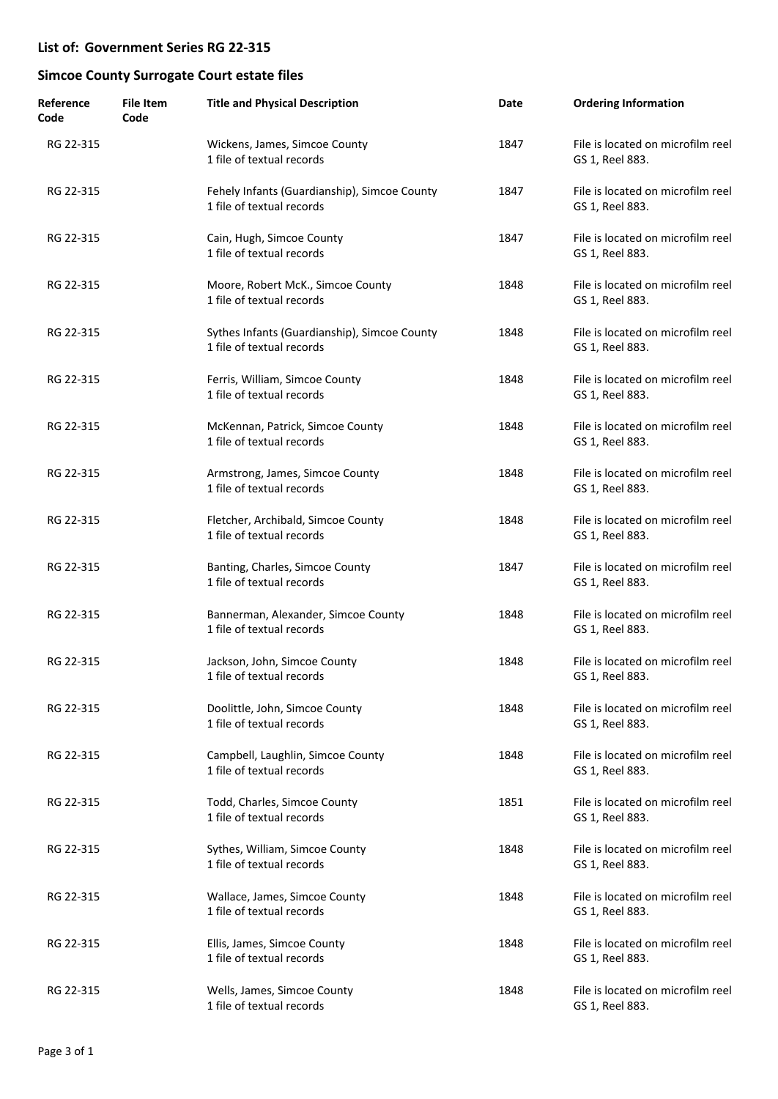| Reference<br>Code | <b>File Item</b><br>Code | <b>Title and Physical Description</b>                                     | Date | <b>Ordering Information</b>                          |
|-------------------|--------------------------|---------------------------------------------------------------------------|------|------------------------------------------------------|
| RG 22-315         |                          | Wickens, James, Simcoe County<br>1 file of textual records                | 1847 | File is located on microfilm reel<br>GS 1, Reel 883. |
| RG 22-315         |                          | Fehely Infants (Guardianship), Simcoe County<br>1 file of textual records | 1847 | File is located on microfilm reel<br>GS 1, Reel 883. |
| RG 22-315         |                          | Cain, Hugh, Simcoe County<br>1 file of textual records                    | 1847 | File is located on microfilm reel<br>GS 1, Reel 883. |
| RG 22-315         |                          | Moore, Robert McK., Simcoe County<br>1 file of textual records            | 1848 | File is located on microfilm reel<br>GS 1, Reel 883. |
| RG 22-315         |                          | Sythes Infants (Guardianship), Simcoe County<br>1 file of textual records | 1848 | File is located on microfilm reel<br>GS 1, Reel 883. |
| RG 22-315         |                          | Ferris, William, Simcoe County<br>1 file of textual records               | 1848 | File is located on microfilm reel<br>GS 1, Reel 883. |
| RG 22-315         |                          | McKennan, Patrick, Simcoe County<br>1 file of textual records             | 1848 | File is located on microfilm reel<br>GS 1, Reel 883. |
| RG 22-315         |                          | Armstrong, James, Simcoe County<br>1 file of textual records              | 1848 | File is located on microfilm reel<br>GS 1, Reel 883. |
| RG 22-315         |                          | Fletcher, Archibald, Simcoe County<br>1 file of textual records           | 1848 | File is located on microfilm reel<br>GS 1, Reel 883. |
| RG 22-315         |                          | Banting, Charles, Simcoe County<br>1 file of textual records              | 1847 | File is located on microfilm reel<br>GS 1, Reel 883. |
| RG 22-315         |                          | Bannerman, Alexander, Simcoe County<br>1 file of textual records          | 1848 | File is located on microfilm reel<br>GS 1, Reel 883. |
| RG 22-315         |                          | Jackson, John, Simcoe County<br>1 file of textual records                 | 1848 | File is located on microfilm reel<br>GS 1, Reel 883. |
| RG 22-315         |                          | Doolittle, John, Simcoe County<br>1 file of textual records               | 1848 | File is located on microfilm reel<br>GS 1, Reel 883. |
| RG 22-315         |                          | Campbell, Laughlin, Simcoe County<br>1 file of textual records            | 1848 | File is located on microfilm reel<br>GS 1, Reel 883. |
| RG 22-315         |                          | Todd, Charles, Simcoe County<br>1 file of textual records                 | 1851 | File is located on microfilm reel<br>GS 1, Reel 883. |
| RG 22-315         |                          | Sythes, William, Simcoe County<br>1 file of textual records               | 1848 | File is located on microfilm reel<br>GS 1, Reel 883. |
| RG 22-315         |                          | Wallace, James, Simcoe County<br>1 file of textual records                | 1848 | File is located on microfilm reel<br>GS 1, Reel 883. |
| RG 22-315         |                          | Ellis, James, Simcoe County<br>1 file of textual records                  | 1848 | File is located on microfilm reel<br>GS 1, Reel 883. |
| RG 22-315         |                          | Wells, James, Simcoe County<br>1 file of textual records                  | 1848 | File is located on microfilm reel<br>GS 1, Reel 883. |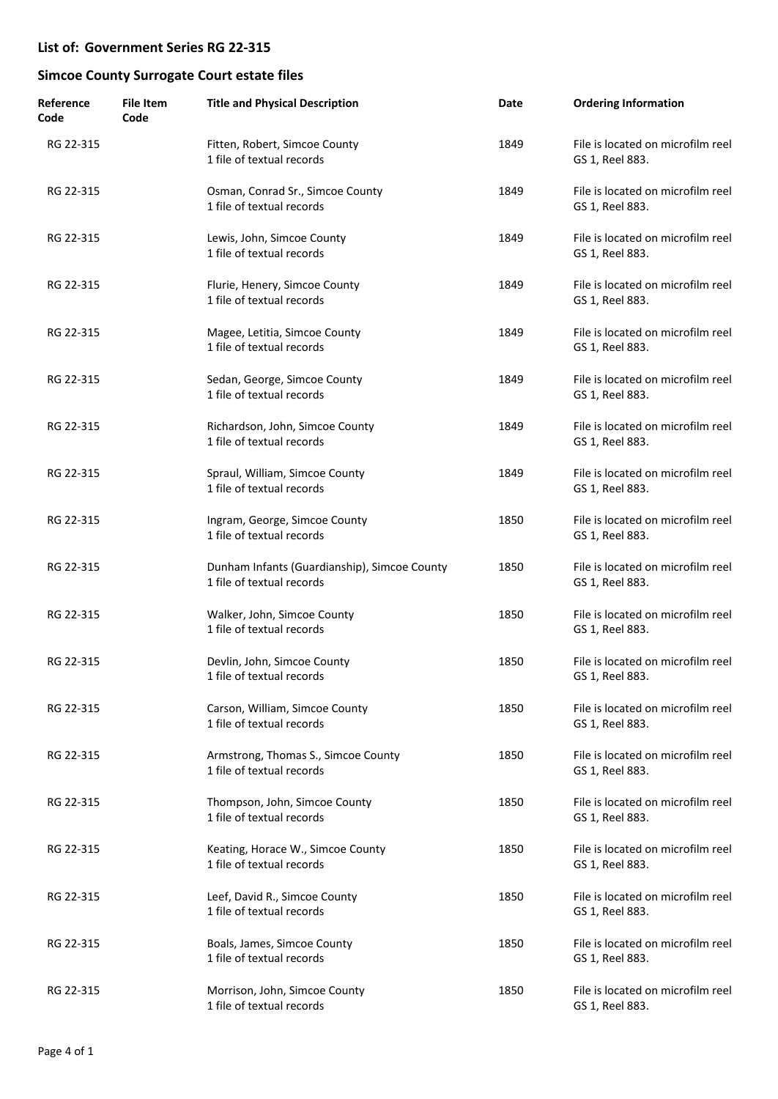| Reference<br>Code | <b>File Item</b><br>Code | <b>Title and Physical Description</b>                                     | Date | <b>Ordering Information</b>                          |
|-------------------|--------------------------|---------------------------------------------------------------------------|------|------------------------------------------------------|
| RG 22-315         |                          | Fitten, Robert, Simcoe County<br>1 file of textual records                | 1849 | File is located on microfilm reel<br>GS 1, Reel 883. |
| RG 22-315         |                          | Osman, Conrad Sr., Simcoe County<br>1 file of textual records             | 1849 | File is located on microfilm reel<br>GS 1, Reel 883. |
| RG 22-315         |                          | Lewis, John, Simcoe County<br>1 file of textual records                   | 1849 | File is located on microfilm reel<br>GS 1, Reel 883. |
| RG 22-315         |                          | Flurie, Henery, Simcoe County<br>1 file of textual records                | 1849 | File is located on microfilm reel<br>GS 1, Reel 883. |
| RG 22-315         |                          | Magee, Letitia, Simcoe County<br>1 file of textual records                | 1849 | File is located on microfilm reel<br>GS 1, Reel 883. |
| RG 22-315         |                          | Sedan, George, Simcoe County<br>1 file of textual records                 | 1849 | File is located on microfilm reel<br>GS 1, Reel 883. |
| RG 22-315         |                          | Richardson, John, Simcoe County<br>1 file of textual records              | 1849 | File is located on microfilm reel<br>GS 1, Reel 883. |
| RG 22-315         |                          | Spraul, William, Simcoe County<br>1 file of textual records               | 1849 | File is located on microfilm reel<br>GS 1, Reel 883. |
| RG 22-315         |                          | Ingram, George, Simcoe County<br>1 file of textual records                | 1850 | File is located on microfilm reel<br>GS 1, Reel 883. |
| RG 22-315         |                          | Dunham Infants (Guardianship), Simcoe County<br>1 file of textual records | 1850 | File is located on microfilm reel<br>GS 1, Reel 883. |
| RG 22-315         |                          | Walker, John, Simcoe County<br>1 file of textual records                  | 1850 | File is located on microfilm reel<br>GS 1, Reel 883. |
| RG 22-315         |                          | Devlin, John, Simcoe County<br>1 file of textual records                  | 1850 | File is located on microfilm reel<br>GS 1, Reel 883. |
| RG 22-315         |                          | Carson, William, Simcoe County<br>1 file of textual records               | 1850 | File is located on microfilm reel<br>GS 1, Reel 883. |
| RG 22-315         |                          | Armstrong, Thomas S., Simcoe County<br>1 file of textual records          | 1850 | File is located on microfilm reel<br>GS 1, Reel 883. |
| RG 22-315         |                          | Thompson, John, Simcoe County<br>1 file of textual records                | 1850 | File is located on microfilm reel<br>GS 1, Reel 883. |
| RG 22-315         |                          | Keating, Horace W., Simcoe County<br>1 file of textual records            | 1850 | File is located on microfilm reel<br>GS 1, Reel 883. |
| RG 22-315         |                          | Leef, David R., Simcoe County<br>1 file of textual records                | 1850 | File is located on microfilm reel<br>GS 1, Reel 883. |
| RG 22-315         |                          | Boals, James, Simcoe County<br>1 file of textual records                  | 1850 | File is located on microfilm reel<br>GS 1, Reel 883. |
| RG 22-315         |                          | Morrison, John, Simcoe County<br>1 file of textual records                | 1850 | File is located on microfilm reel<br>GS 1, Reel 883. |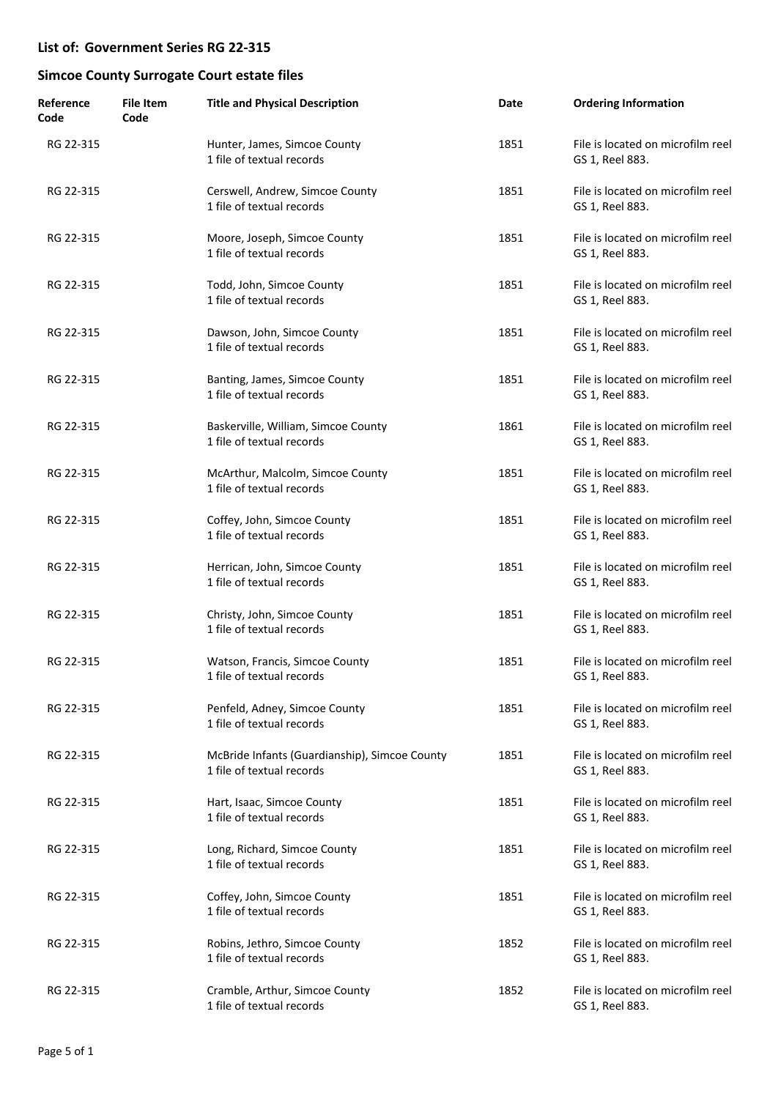| Reference<br>Code | <b>File Item</b><br>Code | <b>Title and Physical Description</b>                                      | Date | <b>Ordering Information</b>                          |
|-------------------|--------------------------|----------------------------------------------------------------------------|------|------------------------------------------------------|
| RG 22-315         |                          | Hunter, James, Simcoe County<br>1 file of textual records                  | 1851 | File is located on microfilm reel<br>GS 1, Reel 883. |
| RG 22-315         |                          | Cerswell, Andrew, Simcoe County<br>1 file of textual records               | 1851 | File is located on microfilm reel<br>GS 1, Reel 883. |
| RG 22-315         |                          | Moore, Joseph, Simcoe County<br>1 file of textual records                  | 1851 | File is located on microfilm reel<br>GS 1, Reel 883. |
| RG 22-315         |                          | Todd, John, Simcoe County<br>1 file of textual records                     | 1851 | File is located on microfilm reel<br>GS 1, Reel 883. |
| RG 22-315         |                          | Dawson, John, Simcoe County<br>1 file of textual records                   | 1851 | File is located on microfilm reel<br>GS 1, Reel 883. |
| RG 22-315         |                          | Banting, James, Simcoe County<br>1 file of textual records                 | 1851 | File is located on microfilm reel<br>GS 1, Reel 883. |
| RG 22-315         |                          | Baskerville, William, Simcoe County<br>1 file of textual records           | 1861 | File is located on microfilm reel<br>GS 1, Reel 883. |
| RG 22-315         |                          | McArthur, Malcolm, Simcoe County<br>1 file of textual records              | 1851 | File is located on microfilm reel<br>GS 1, Reel 883. |
| RG 22-315         |                          | Coffey, John, Simcoe County<br>1 file of textual records                   | 1851 | File is located on microfilm reel<br>GS 1, Reel 883. |
| RG 22-315         |                          | Herrican, John, Simcoe County<br>1 file of textual records                 | 1851 | File is located on microfilm reel<br>GS 1, Reel 883. |
| RG 22-315         |                          | Christy, John, Simcoe County<br>1 file of textual records                  | 1851 | File is located on microfilm reel<br>GS 1, Reel 883. |
| RG 22-315         |                          | Watson, Francis, Simcoe County<br>1 file of textual records                | 1851 | File is located on microfilm reel<br>GS 1, Reel 883. |
| RG 22-315         |                          | Penfeld, Adney, Simcoe County<br>1 file of textual records                 | 1851 | File is located on microfilm reel<br>GS 1, Reel 883. |
| RG 22-315         |                          | McBride Infants (Guardianship), Simcoe County<br>1 file of textual records | 1851 | File is located on microfilm reel<br>GS 1, Reel 883. |
| RG 22-315         |                          | Hart, Isaac, Simcoe County<br>1 file of textual records                    | 1851 | File is located on microfilm reel<br>GS 1, Reel 883. |
| RG 22-315         |                          | Long, Richard, Simcoe County<br>1 file of textual records                  | 1851 | File is located on microfilm reel<br>GS 1, Reel 883. |
| RG 22-315         |                          | Coffey, John, Simcoe County<br>1 file of textual records                   | 1851 | File is located on microfilm reel<br>GS 1, Reel 883. |
| RG 22-315         |                          | Robins, Jethro, Simcoe County<br>1 file of textual records                 | 1852 | File is located on microfilm reel<br>GS 1, Reel 883. |
| RG 22-315         |                          | Cramble, Arthur, Simcoe County<br>1 file of textual records                | 1852 | File is located on microfilm reel<br>GS 1, Reel 883. |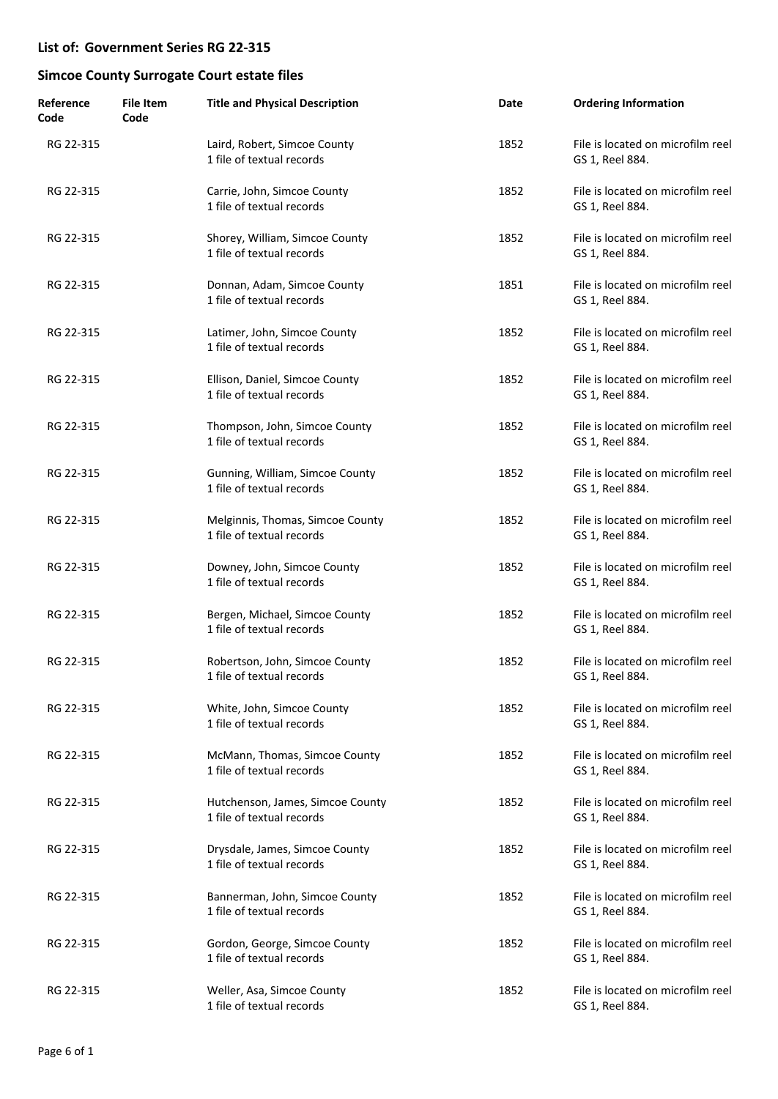| Reference<br>Code | <b>File Item</b><br>Code | <b>Title and Physical Description</b>                         | Date | <b>Ordering Information</b>                          |
|-------------------|--------------------------|---------------------------------------------------------------|------|------------------------------------------------------|
| RG 22-315         |                          | Laird, Robert, Simcoe County<br>1 file of textual records     | 1852 | File is located on microfilm reel<br>GS 1, Reel 884. |
| RG 22-315         |                          | Carrie, John, Simcoe County<br>1 file of textual records      | 1852 | File is located on microfilm reel<br>GS 1, Reel 884. |
| RG 22-315         |                          | Shorey, William, Simcoe County<br>1 file of textual records   | 1852 | File is located on microfilm reel<br>GS 1, Reel 884. |
| RG 22-315         |                          | Donnan, Adam, Simcoe County<br>1 file of textual records      | 1851 | File is located on microfilm reel<br>GS 1, Reel 884. |
| RG 22-315         |                          | Latimer, John, Simcoe County<br>1 file of textual records     | 1852 | File is located on microfilm reel<br>GS 1, Reel 884. |
| RG 22-315         |                          | Ellison, Daniel, Simcoe County<br>1 file of textual records   | 1852 | File is located on microfilm reel<br>GS 1, Reel 884. |
| RG 22-315         |                          | Thompson, John, Simcoe County<br>1 file of textual records    | 1852 | File is located on microfilm reel<br>GS 1, Reel 884. |
| RG 22-315         |                          | Gunning, William, Simcoe County<br>1 file of textual records  | 1852 | File is located on microfilm reel<br>GS 1, Reel 884. |
| RG 22-315         |                          | Melginnis, Thomas, Simcoe County<br>1 file of textual records | 1852 | File is located on microfilm reel<br>GS 1, Reel 884. |
| RG 22-315         |                          | Downey, John, Simcoe County<br>1 file of textual records      | 1852 | File is located on microfilm reel<br>GS 1, Reel 884. |
| RG 22-315         |                          | Bergen, Michael, Simcoe County<br>1 file of textual records   | 1852 | File is located on microfilm reel<br>GS 1, Reel 884. |
| RG 22-315         |                          | Robertson, John, Simcoe County<br>1 file of textual records   | 1852 | File is located on microfilm reel<br>GS 1, Reel 884. |
| RG 22-315         |                          | White, John, Simcoe County<br>1 file of textual records       | 1852 | File is located on microfilm reel<br>GS 1, Reel 884. |
| RG 22-315         |                          | McMann, Thomas, Simcoe County<br>1 file of textual records    | 1852 | File is located on microfilm reel<br>GS 1, Reel 884. |
| RG 22-315         |                          | Hutchenson, James, Simcoe County<br>1 file of textual records | 1852 | File is located on microfilm reel<br>GS 1, Reel 884. |
| RG 22-315         |                          | Drysdale, James, Simcoe County<br>1 file of textual records   | 1852 | File is located on microfilm reel<br>GS 1, Reel 884. |
| RG 22-315         |                          | Bannerman, John, Simcoe County<br>1 file of textual records   | 1852 | File is located on microfilm reel<br>GS 1, Reel 884. |
| RG 22-315         |                          | Gordon, George, Simcoe County<br>1 file of textual records    | 1852 | File is located on microfilm reel<br>GS 1, Reel 884. |
| RG 22-315         |                          | Weller, Asa, Simcoe County<br>1 file of textual records       | 1852 | File is located on microfilm reel<br>GS 1, Reel 884. |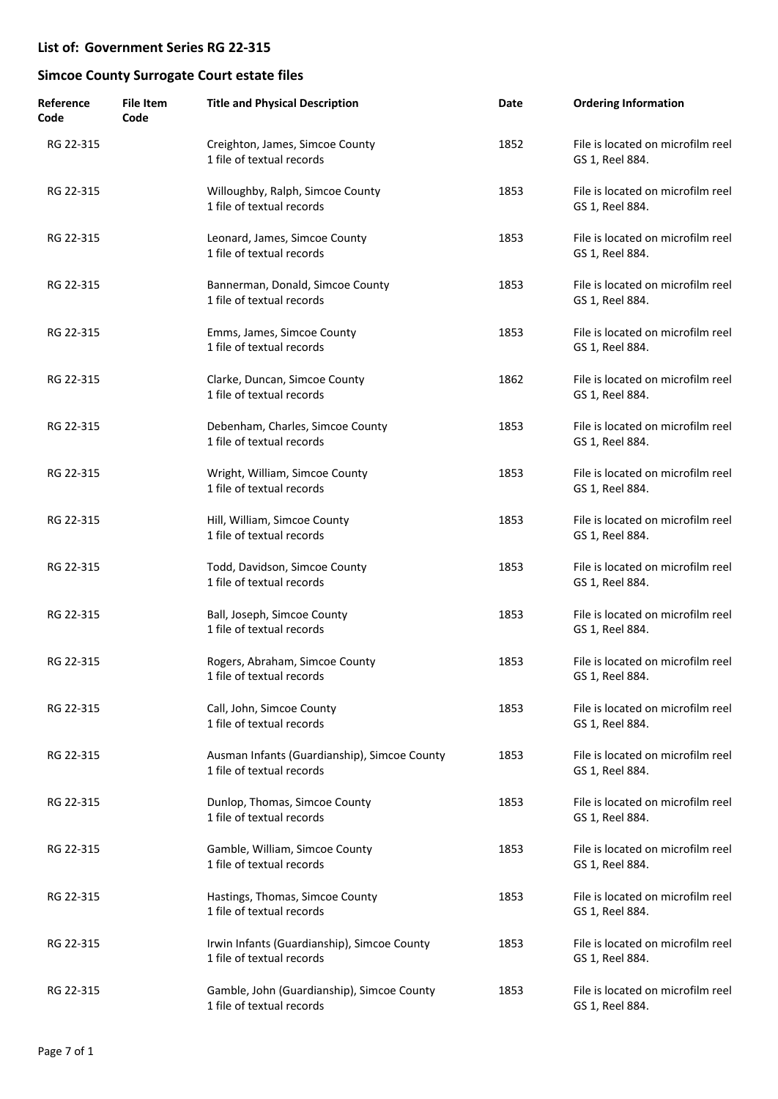| Reference<br>Code | <b>File Item</b><br>Code | <b>Title and Physical Description</b>                                     | Date | <b>Ordering Information</b>                          |
|-------------------|--------------------------|---------------------------------------------------------------------------|------|------------------------------------------------------|
| RG 22-315         |                          | Creighton, James, Simcoe County<br>1 file of textual records              | 1852 | File is located on microfilm reel<br>GS 1, Reel 884. |
| RG 22-315         |                          | Willoughby, Ralph, Simcoe County<br>1 file of textual records             | 1853 | File is located on microfilm reel<br>GS 1, Reel 884. |
| RG 22-315         |                          | Leonard, James, Simcoe County<br>1 file of textual records                | 1853 | File is located on microfilm reel<br>GS 1, Reel 884. |
| RG 22-315         |                          | Bannerman, Donald, Simcoe County<br>1 file of textual records             | 1853 | File is located on microfilm reel<br>GS 1, Reel 884. |
| RG 22-315         |                          | Emms, James, Simcoe County<br>1 file of textual records                   | 1853 | File is located on microfilm reel<br>GS 1, Reel 884. |
| RG 22-315         |                          | Clarke, Duncan, Simcoe County<br>1 file of textual records                | 1862 | File is located on microfilm reel<br>GS 1, Reel 884. |
| RG 22-315         |                          | Debenham, Charles, Simcoe County<br>1 file of textual records             | 1853 | File is located on microfilm reel<br>GS 1, Reel 884. |
| RG 22-315         |                          | Wright, William, Simcoe County<br>1 file of textual records               | 1853 | File is located on microfilm reel<br>GS 1, Reel 884. |
| RG 22-315         |                          | Hill, William, Simcoe County<br>1 file of textual records                 | 1853 | File is located on microfilm reel<br>GS 1, Reel 884. |
| RG 22-315         |                          | Todd, Davidson, Simcoe County<br>1 file of textual records                | 1853 | File is located on microfilm reel<br>GS 1, Reel 884. |
| RG 22-315         |                          | Ball, Joseph, Simcoe County<br>1 file of textual records                  | 1853 | File is located on microfilm reel<br>GS 1, Reel 884. |
| RG 22-315         |                          | Rogers, Abraham, Simcoe County<br>1 file of textual records               | 1853 | File is located on microfilm reel<br>GS 1, Reel 884. |
| RG 22-315         |                          | Call, John, Simcoe County<br>1 file of textual records                    | 1853 | File is located on microfilm reel<br>GS 1, Reel 884. |
| RG 22-315         |                          | Ausman Infants (Guardianship), Simcoe County<br>1 file of textual records | 1853 | File is located on microfilm reel<br>GS 1, Reel 884. |
| RG 22-315         |                          | Dunlop, Thomas, Simcoe County<br>1 file of textual records                | 1853 | File is located on microfilm reel<br>GS 1, Reel 884. |
| RG 22-315         |                          | Gamble, William, Simcoe County<br>1 file of textual records               | 1853 | File is located on microfilm reel<br>GS 1, Reel 884. |
| RG 22-315         |                          | Hastings, Thomas, Simcoe County<br>1 file of textual records              | 1853 | File is located on microfilm reel<br>GS 1, Reel 884. |
| RG 22-315         |                          | Irwin Infants (Guardianship), Simcoe County<br>1 file of textual records  | 1853 | File is located on microfilm reel<br>GS 1, Reel 884. |
| RG 22-315         |                          | Gamble, John (Guardianship), Simcoe County<br>1 file of textual records   | 1853 | File is located on microfilm reel<br>GS 1, Reel 884. |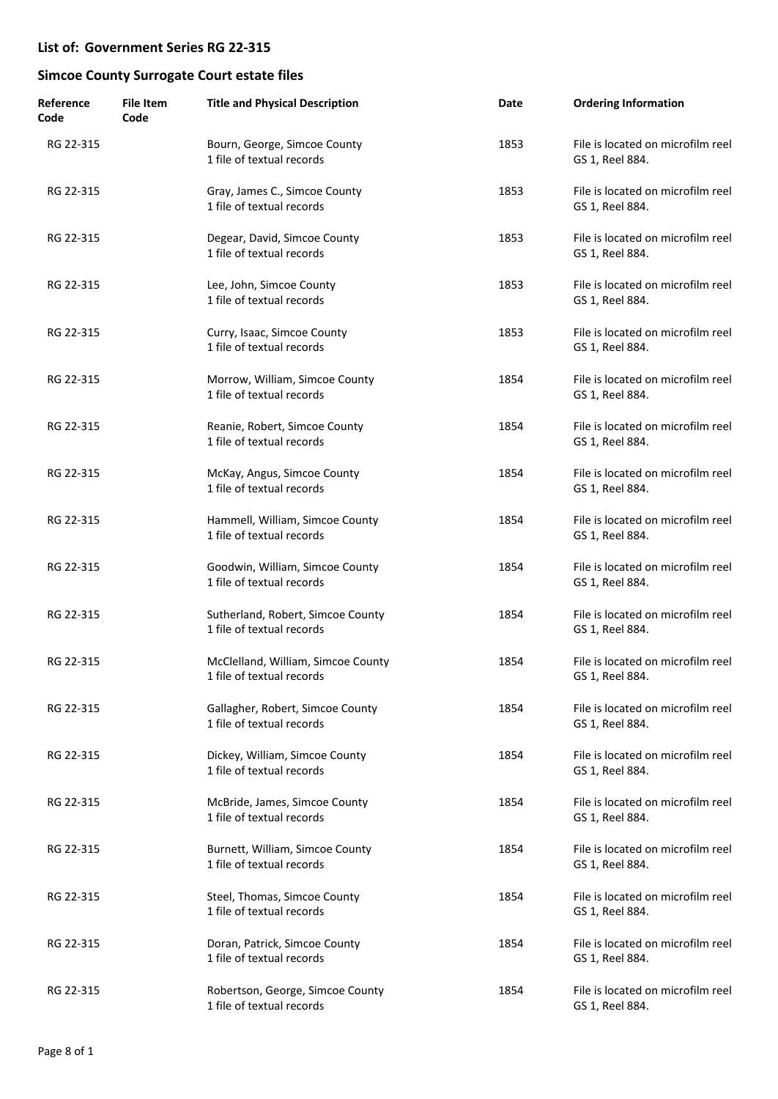| Reference<br>Code | <b>File Item</b><br>Code | <b>Title and Physical Description</b>                           | Date | <b>Ordering Information</b>                          |
|-------------------|--------------------------|-----------------------------------------------------------------|------|------------------------------------------------------|
| RG 22-315         |                          | Bourn, George, Simcoe County<br>1 file of textual records       | 1853 | File is located on microfilm reel<br>GS 1, Reel 884. |
| RG 22-315         |                          | Gray, James C., Simcoe County<br>1 file of textual records      | 1853 | File is located on microfilm reel<br>GS 1, Reel 884. |
| RG 22-315         |                          | Degear, David, Simcoe County<br>1 file of textual records       | 1853 | File is located on microfilm reel<br>GS 1, Reel 884. |
| RG 22-315         |                          | Lee, John, Simcoe County<br>1 file of textual records           | 1853 | File is located on microfilm reel<br>GS 1, Reel 884. |
| RG 22-315         |                          | Curry, Isaac, Simcoe County<br>1 file of textual records        | 1853 | File is located on microfilm reel<br>GS 1, Reel 884. |
| RG 22-315         |                          | Morrow, William, Simcoe County<br>1 file of textual records     | 1854 | File is located on microfilm reel<br>GS 1, Reel 884. |
| RG 22-315         |                          | Reanie, Robert, Simcoe County<br>1 file of textual records      | 1854 | File is located on microfilm reel<br>GS 1, Reel 884. |
| RG 22-315         |                          | McKay, Angus, Simcoe County<br>1 file of textual records        | 1854 | File is located on microfilm reel<br>GS 1, Reel 884. |
| RG 22-315         |                          | Hammell, William, Simcoe County<br>1 file of textual records    | 1854 | File is located on microfilm reel<br>GS 1, Reel 884. |
| RG 22-315         |                          | Goodwin, William, Simcoe County<br>1 file of textual records    | 1854 | File is located on microfilm reel<br>GS 1, Reel 884. |
| RG 22-315         |                          | Sutherland, Robert, Simcoe County<br>1 file of textual records  | 1854 | File is located on microfilm reel<br>GS 1, Reel 884. |
| RG 22-315         |                          | McClelland, William, Simcoe County<br>1 file of textual records | 1854 | File is located on microfilm reel<br>GS 1, Reel 884. |
| RG 22-315         |                          | Gallagher, Robert, Simcoe County<br>1 file of textual records   | 1854 | File is located on microfilm reel<br>GS 1, Reel 884. |
| RG 22-315         |                          | Dickey, William, Simcoe County<br>1 file of textual records     | 1854 | File is located on microfilm reel<br>GS 1, Reel 884. |
| RG 22-315         |                          | McBride, James, Simcoe County<br>1 file of textual records      | 1854 | File is located on microfilm reel<br>GS 1, Reel 884. |
| RG 22-315         |                          | Burnett, William, Simcoe County<br>1 file of textual records    | 1854 | File is located on microfilm reel<br>GS 1, Reel 884. |
| RG 22-315         |                          | Steel, Thomas, Simcoe County<br>1 file of textual records       | 1854 | File is located on microfilm reel<br>GS 1, Reel 884. |
| RG 22-315         |                          | Doran, Patrick, Simcoe County<br>1 file of textual records      | 1854 | File is located on microfilm reel<br>GS 1, Reel 884. |
| RG 22-315         |                          | Robertson, George, Simcoe County<br>1 file of textual records   | 1854 | File is located on microfilm reel<br>GS 1, Reel 884. |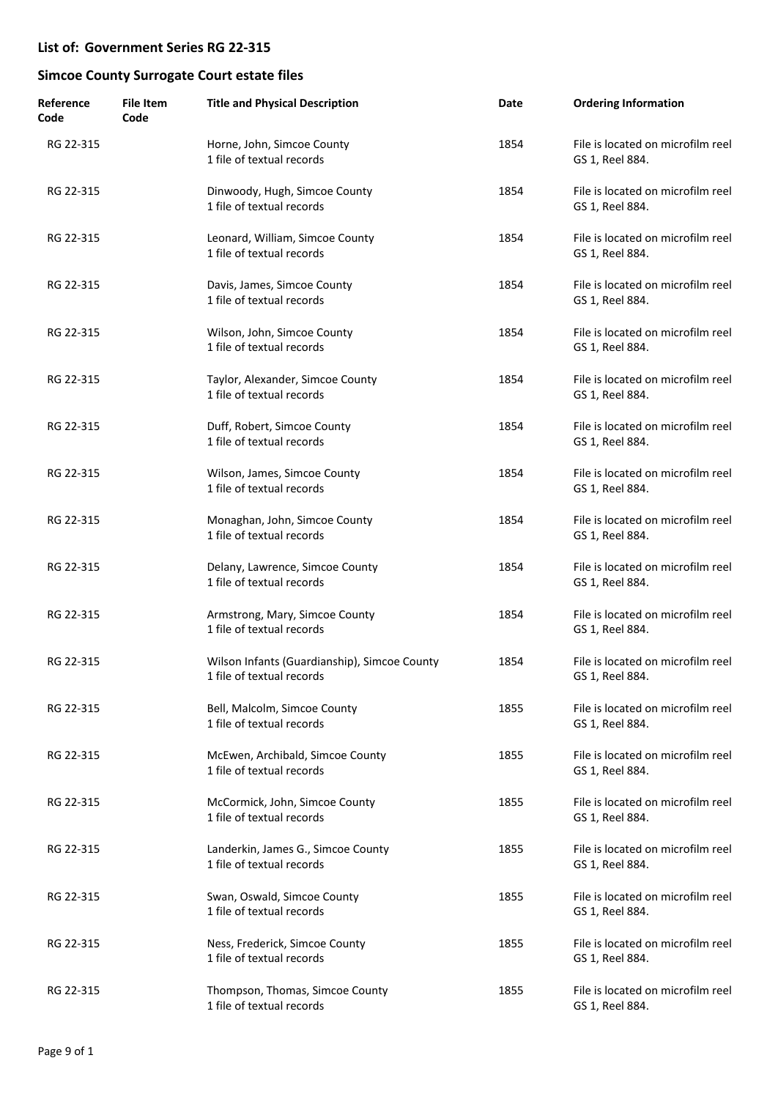| Reference<br>Code | <b>File Item</b><br>Code | <b>Title and Physical Description</b>                                     | Date | <b>Ordering Information</b>                          |
|-------------------|--------------------------|---------------------------------------------------------------------------|------|------------------------------------------------------|
| RG 22-315         |                          | Horne, John, Simcoe County<br>1 file of textual records                   | 1854 | File is located on microfilm reel<br>GS 1, Reel 884. |
| RG 22-315         |                          | Dinwoody, Hugh, Simcoe County<br>1 file of textual records                | 1854 | File is located on microfilm reel<br>GS 1, Reel 884. |
| RG 22-315         |                          | Leonard, William, Simcoe County<br>1 file of textual records              | 1854 | File is located on microfilm reel<br>GS 1, Reel 884. |
| RG 22-315         |                          | Davis, James, Simcoe County<br>1 file of textual records                  | 1854 | File is located on microfilm reel<br>GS 1, Reel 884. |
| RG 22-315         |                          | Wilson, John, Simcoe County<br>1 file of textual records                  | 1854 | File is located on microfilm reel<br>GS 1, Reel 884. |
| RG 22-315         |                          | Taylor, Alexander, Simcoe County<br>1 file of textual records             | 1854 | File is located on microfilm reel<br>GS 1, Reel 884. |
| RG 22-315         |                          | Duff, Robert, Simcoe County<br>1 file of textual records                  | 1854 | File is located on microfilm reel<br>GS 1, Reel 884. |
| RG 22-315         |                          | Wilson, James, Simcoe County<br>1 file of textual records                 | 1854 | File is located on microfilm reel<br>GS 1, Reel 884. |
| RG 22-315         |                          | Monaghan, John, Simcoe County<br>1 file of textual records                | 1854 | File is located on microfilm reel<br>GS 1, Reel 884. |
| RG 22-315         |                          | Delany, Lawrence, Simcoe County<br>1 file of textual records              | 1854 | File is located on microfilm reel<br>GS 1, Reel 884. |
| RG 22-315         |                          | Armstrong, Mary, Simcoe County<br>1 file of textual records               | 1854 | File is located on microfilm reel<br>GS 1, Reel 884. |
| RG 22-315         |                          | Wilson Infants (Guardianship), Simcoe County<br>1 file of textual records | 1854 | File is located on microfilm reel<br>GS 1, Reel 884. |
| RG 22-315         |                          | Bell, Malcolm, Simcoe County<br>1 file of textual records                 | 1855 | File is located on microfilm reel<br>GS 1, Reel 884. |
| RG 22-315         |                          | McEwen, Archibald, Simcoe County<br>1 file of textual records             | 1855 | File is located on microfilm reel<br>GS 1, Reel 884. |
| RG 22-315         |                          | McCormick, John, Simcoe County<br>1 file of textual records               | 1855 | File is located on microfilm reel<br>GS 1, Reel 884. |
| RG 22-315         |                          | Landerkin, James G., Simcoe County<br>1 file of textual records           | 1855 | File is located on microfilm reel<br>GS 1, Reel 884. |
| RG 22-315         |                          | Swan, Oswald, Simcoe County<br>1 file of textual records                  | 1855 | File is located on microfilm reel<br>GS 1, Reel 884. |
| RG 22-315         |                          | Ness, Frederick, Simcoe County<br>1 file of textual records               | 1855 | File is located on microfilm reel<br>GS 1, Reel 884. |
| RG 22-315         |                          | Thompson, Thomas, Simcoe County<br>1 file of textual records              | 1855 | File is located on microfilm reel<br>GS 1, Reel 884. |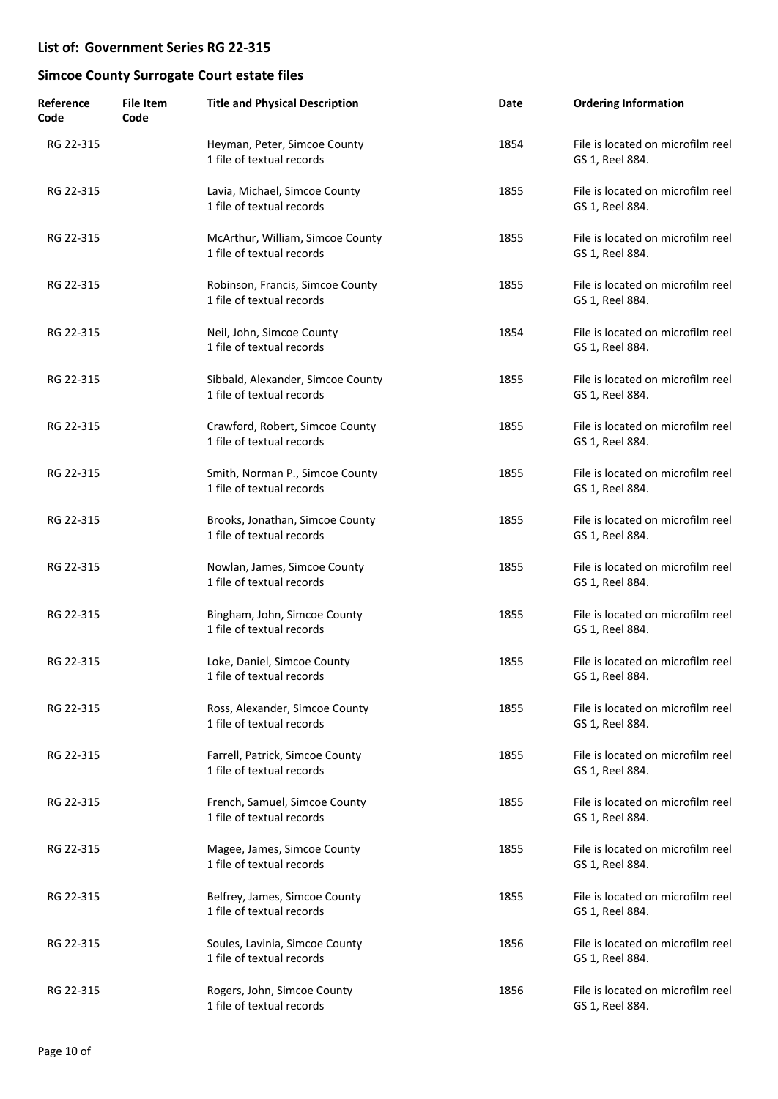| Reference<br>Code | <b>File Item</b><br>Code | <b>Title and Physical Description</b>                          | Date | <b>Ordering Information</b>                          |
|-------------------|--------------------------|----------------------------------------------------------------|------|------------------------------------------------------|
| RG 22-315         |                          | Heyman, Peter, Simcoe County<br>1 file of textual records      | 1854 | File is located on microfilm reel<br>GS 1, Reel 884. |
| RG 22-315         |                          | Lavia, Michael, Simcoe County<br>1 file of textual records     | 1855 | File is located on microfilm reel<br>GS 1, Reel 884. |
| RG 22-315         |                          | McArthur, William, Simcoe County<br>1 file of textual records  | 1855 | File is located on microfilm reel<br>GS 1, Reel 884. |
| RG 22-315         |                          | Robinson, Francis, Simcoe County<br>1 file of textual records  | 1855 | File is located on microfilm reel<br>GS 1, Reel 884. |
| RG 22-315         |                          | Neil, John, Simcoe County<br>1 file of textual records         | 1854 | File is located on microfilm reel<br>GS 1, Reel 884. |
| RG 22-315         |                          | Sibbald, Alexander, Simcoe County<br>1 file of textual records | 1855 | File is located on microfilm reel<br>GS 1, Reel 884. |
| RG 22-315         |                          | Crawford, Robert, Simcoe County<br>1 file of textual records   | 1855 | File is located on microfilm reel<br>GS 1, Reel 884. |
| RG 22-315         |                          | Smith, Norman P., Simcoe County<br>1 file of textual records   | 1855 | File is located on microfilm reel<br>GS 1, Reel 884. |
| RG 22-315         |                          | Brooks, Jonathan, Simcoe County<br>1 file of textual records   | 1855 | File is located on microfilm reel<br>GS 1, Reel 884. |
| RG 22-315         |                          | Nowlan, James, Simcoe County<br>1 file of textual records      | 1855 | File is located on microfilm reel<br>GS 1, Reel 884. |
| RG 22-315         |                          | Bingham, John, Simcoe County<br>1 file of textual records      | 1855 | File is located on microfilm reel<br>GS 1, Reel 884. |
| RG 22-315         |                          | Loke, Daniel, Simcoe County<br>1 file of textual records       | 1855 | File is located on microfilm reel<br>GS 1, Reel 884. |
| RG 22-315         |                          | Ross, Alexander, Simcoe County<br>1 file of textual records    | 1855 | File is located on microfilm reel<br>GS 1, Reel 884. |
| RG 22-315         |                          | Farrell, Patrick, Simcoe County<br>1 file of textual records   | 1855 | File is located on microfilm reel<br>GS 1, Reel 884. |
| RG 22-315         |                          | French, Samuel, Simcoe County<br>1 file of textual records     | 1855 | File is located on microfilm reel<br>GS 1, Reel 884. |
| RG 22-315         |                          | Magee, James, Simcoe County<br>1 file of textual records       | 1855 | File is located on microfilm reel<br>GS 1, Reel 884. |
| RG 22-315         |                          | Belfrey, James, Simcoe County<br>1 file of textual records     | 1855 | File is located on microfilm reel<br>GS 1, Reel 884. |
| RG 22-315         |                          | Soules, Lavinia, Simcoe County<br>1 file of textual records    | 1856 | File is located on microfilm reel<br>GS 1, Reel 884. |
| RG 22-315         |                          | Rogers, John, Simcoe County<br>1 file of textual records       | 1856 | File is located on microfilm reel<br>GS 1, Reel 884. |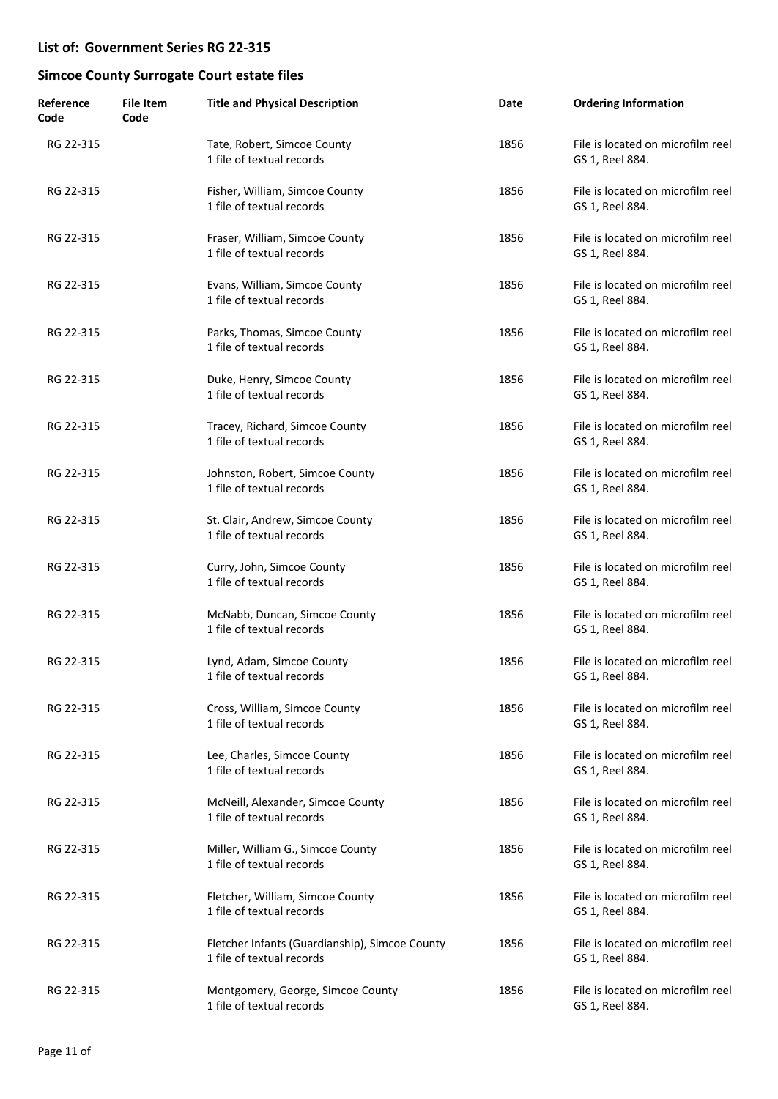| Reference<br>Code | <b>File Item</b><br>Code | <b>Title and Physical Description</b>                                       | Date | <b>Ordering Information</b>                          |
|-------------------|--------------------------|-----------------------------------------------------------------------------|------|------------------------------------------------------|
| RG 22-315         |                          | Tate, Robert, Simcoe County<br>1 file of textual records                    | 1856 | File is located on microfilm reel<br>GS 1, Reel 884. |
| RG 22-315         |                          | Fisher, William, Simcoe County<br>1 file of textual records                 | 1856 | File is located on microfilm reel<br>GS 1, Reel 884. |
| RG 22-315         |                          | Fraser, William, Simcoe County<br>1 file of textual records                 | 1856 | File is located on microfilm reel<br>GS 1, Reel 884. |
| RG 22-315         |                          | Evans, William, Simcoe County<br>1 file of textual records                  | 1856 | File is located on microfilm reel<br>GS 1, Reel 884. |
| RG 22-315         |                          | Parks, Thomas, Simcoe County<br>1 file of textual records                   | 1856 | File is located on microfilm reel<br>GS 1, Reel 884. |
| RG 22-315         |                          | Duke, Henry, Simcoe County<br>1 file of textual records                     | 1856 | File is located on microfilm reel<br>GS 1, Reel 884. |
| RG 22-315         |                          | Tracey, Richard, Simcoe County<br>1 file of textual records                 | 1856 | File is located on microfilm reel<br>GS 1, Reel 884. |
| RG 22-315         |                          | Johnston, Robert, Simcoe County<br>1 file of textual records                | 1856 | File is located on microfilm reel<br>GS 1, Reel 884. |
| RG 22-315         |                          | St. Clair, Andrew, Simcoe County<br>1 file of textual records               | 1856 | File is located on microfilm reel<br>GS 1, Reel 884. |
| RG 22-315         |                          | Curry, John, Simcoe County<br>1 file of textual records                     | 1856 | File is located on microfilm reel<br>GS 1, Reel 884. |
| RG 22-315         |                          | McNabb, Duncan, Simcoe County<br>1 file of textual records                  | 1856 | File is located on microfilm reel<br>GS 1, Reel 884. |
| RG 22-315         |                          | Lynd, Adam, Simcoe County<br>1 file of textual records                      | 1856 | File is located on microfilm reel<br>GS 1, Reel 884. |
| RG 22-315         |                          | Cross, William, Simcoe County<br>1 file of textual records                  | 1856 | File is located on microfilm reel<br>GS 1, Reel 884. |
| RG 22-315         |                          | Lee, Charles, Simcoe County<br>1 file of textual records                    | 1856 | File is located on microfilm reel<br>GS 1, Reel 884. |
| RG 22-315         |                          | McNeill, Alexander, Simcoe County<br>1 file of textual records              | 1856 | File is located on microfilm reel<br>GS 1, Reel 884. |
| RG 22-315         |                          | Miller, William G., Simcoe County<br>1 file of textual records              | 1856 | File is located on microfilm reel<br>GS 1, Reel 884. |
| RG 22-315         |                          | Fletcher, William, Simcoe County<br>1 file of textual records               | 1856 | File is located on microfilm reel<br>GS 1, Reel 884. |
| RG 22-315         |                          | Fletcher Infants (Guardianship), Simcoe County<br>1 file of textual records | 1856 | File is located on microfilm reel<br>GS 1, Reel 884. |
| RG 22-315         |                          | Montgomery, George, Simcoe County<br>1 file of textual records              | 1856 | File is located on microfilm reel<br>GS 1, Reel 884. |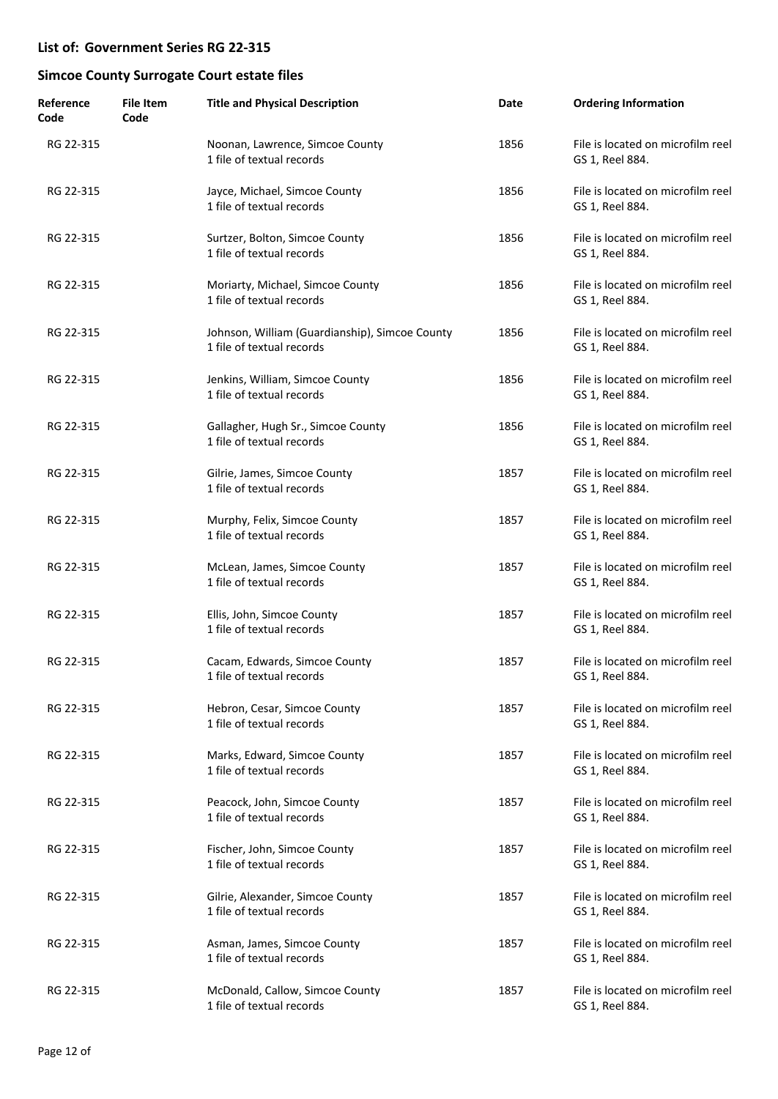| Reference<br>Code | <b>File Item</b><br>Code | <b>Title and Physical Description</b>                                       | Date | <b>Ordering Information</b>                          |
|-------------------|--------------------------|-----------------------------------------------------------------------------|------|------------------------------------------------------|
| RG 22-315         |                          | Noonan, Lawrence, Simcoe County<br>1 file of textual records                | 1856 | File is located on microfilm reel<br>GS 1, Reel 884. |
| RG 22-315         |                          | Jayce, Michael, Simcoe County<br>1 file of textual records                  | 1856 | File is located on microfilm reel<br>GS 1, Reel 884. |
| RG 22-315         |                          | Surtzer, Bolton, Simcoe County<br>1 file of textual records                 | 1856 | File is located on microfilm reel<br>GS 1, Reel 884. |
| RG 22-315         |                          | Moriarty, Michael, Simcoe County<br>1 file of textual records               | 1856 | File is located on microfilm reel<br>GS 1, Reel 884. |
| RG 22-315         |                          | Johnson, William (Guardianship), Simcoe County<br>1 file of textual records | 1856 | File is located on microfilm reel<br>GS 1, Reel 884. |
| RG 22-315         |                          | Jenkins, William, Simcoe County<br>1 file of textual records                | 1856 | File is located on microfilm reel<br>GS 1, Reel 884. |
| RG 22-315         |                          | Gallagher, Hugh Sr., Simcoe County<br>1 file of textual records             | 1856 | File is located on microfilm reel<br>GS 1, Reel 884. |
| RG 22-315         |                          | Gilrie, James, Simcoe County<br>1 file of textual records                   | 1857 | File is located on microfilm reel<br>GS 1, Reel 884. |
| RG 22-315         |                          | Murphy, Felix, Simcoe County<br>1 file of textual records                   | 1857 | File is located on microfilm reel<br>GS 1, Reel 884. |
| RG 22-315         |                          | McLean, James, Simcoe County<br>1 file of textual records                   | 1857 | File is located on microfilm reel<br>GS 1, Reel 884. |
| RG 22-315         |                          | Ellis, John, Simcoe County<br>1 file of textual records                     | 1857 | File is located on microfilm reel<br>GS 1, Reel 884. |
| RG 22-315         |                          | Cacam, Edwards, Simcoe County<br>1 file of textual records                  | 1857 | File is located on microfilm reel<br>GS 1, Reel 884. |
| RG 22-315         |                          | Hebron, Cesar, Simcoe County<br>1 file of textual records                   | 1857 | File is located on microfilm reel<br>GS 1, Reel 884. |
| RG 22-315         |                          | Marks, Edward, Simcoe County<br>1 file of textual records                   | 1857 | File is located on microfilm reel<br>GS 1, Reel 884. |
| RG 22-315         |                          | Peacock, John, Simcoe County<br>1 file of textual records                   | 1857 | File is located on microfilm reel<br>GS 1, Reel 884. |
| RG 22-315         |                          | Fischer, John, Simcoe County<br>1 file of textual records                   | 1857 | File is located on microfilm reel<br>GS 1, Reel 884. |
| RG 22-315         |                          | Gilrie, Alexander, Simcoe County<br>1 file of textual records               | 1857 | File is located on microfilm reel<br>GS 1, Reel 884. |
| RG 22-315         |                          | Asman, James, Simcoe County<br>1 file of textual records                    | 1857 | File is located on microfilm reel<br>GS 1, Reel 884. |
| RG 22-315         |                          | McDonald, Callow, Simcoe County<br>1 file of textual records                | 1857 | File is located on microfilm reel<br>GS 1, Reel 884. |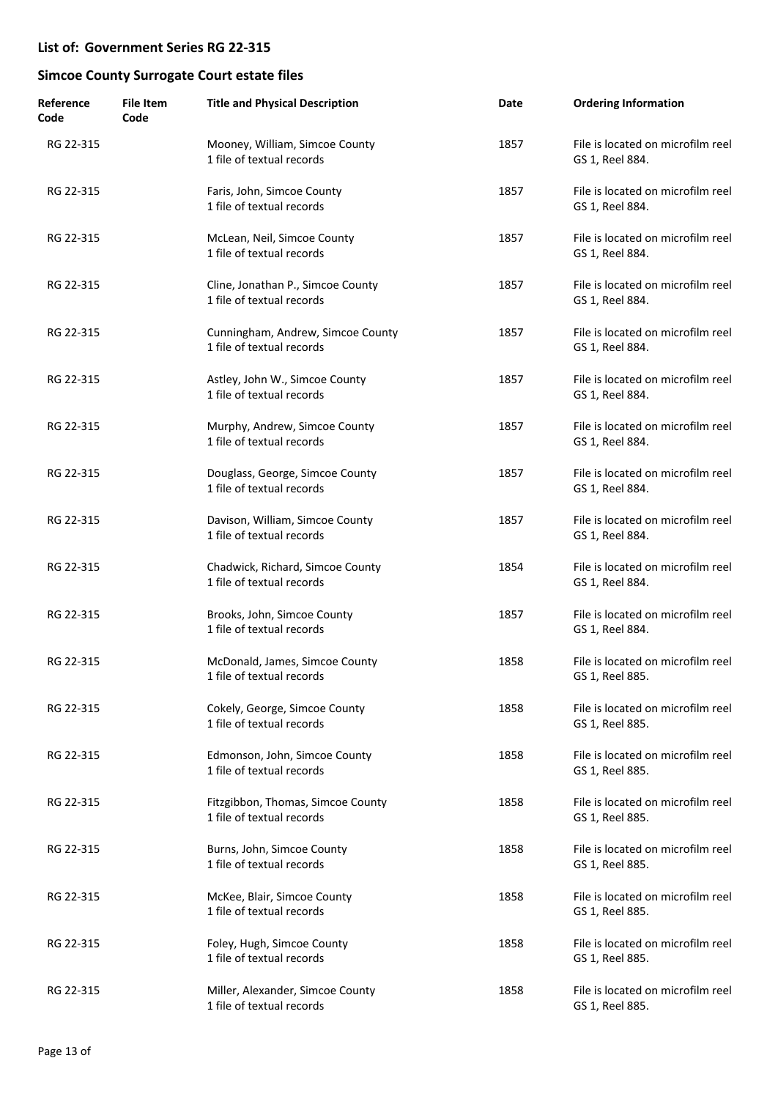| Reference<br>Code | <b>File Item</b><br>Code | <b>Title and Physical Description</b>                          | Date | <b>Ordering Information</b>                          |
|-------------------|--------------------------|----------------------------------------------------------------|------|------------------------------------------------------|
| RG 22-315         |                          | Mooney, William, Simcoe County<br>1 file of textual records    | 1857 | File is located on microfilm reel<br>GS 1, Reel 884. |
| RG 22-315         |                          | Faris, John, Simcoe County<br>1 file of textual records        | 1857 | File is located on microfilm reel<br>GS 1, Reel 884. |
| RG 22-315         |                          | McLean, Neil, Simcoe County<br>1 file of textual records       | 1857 | File is located on microfilm reel<br>GS 1, Reel 884. |
| RG 22-315         |                          | Cline, Jonathan P., Simcoe County<br>1 file of textual records | 1857 | File is located on microfilm reel<br>GS 1, Reel 884. |
| RG 22-315         |                          | Cunningham, Andrew, Simcoe County<br>1 file of textual records | 1857 | File is located on microfilm reel<br>GS 1, Reel 884. |
| RG 22-315         |                          | Astley, John W., Simcoe County<br>1 file of textual records    | 1857 | File is located on microfilm reel<br>GS 1, Reel 884. |
| RG 22-315         |                          | Murphy, Andrew, Simcoe County<br>1 file of textual records     | 1857 | File is located on microfilm reel<br>GS 1, Reel 884. |
| RG 22-315         |                          | Douglass, George, Simcoe County<br>1 file of textual records   | 1857 | File is located on microfilm reel<br>GS 1, Reel 884. |
| RG 22-315         |                          | Davison, William, Simcoe County<br>1 file of textual records   | 1857 | File is located on microfilm reel<br>GS 1, Reel 884. |
| RG 22-315         |                          | Chadwick, Richard, Simcoe County<br>1 file of textual records  | 1854 | File is located on microfilm reel<br>GS 1, Reel 884. |
| RG 22-315         |                          | Brooks, John, Simcoe County<br>1 file of textual records       | 1857 | File is located on microfilm reel<br>GS 1, Reel 884. |
| RG 22-315         |                          | McDonald, James, Simcoe County<br>1 file of textual records    | 1858 | File is located on microfilm reel<br>GS 1, Reel 885. |
| RG 22-315         |                          | Cokely, George, Simcoe County<br>1 file of textual records     | 1858 | File is located on microfilm reel<br>GS 1, Reel 885. |
| RG 22-315         |                          | Edmonson, John, Simcoe County<br>1 file of textual records     | 1858 | File is located on microfilm reel<br>GS 1, Reel 885. |
| RG 22-315         |                          | Fitzgibbon, Thomas, Simcoe County<br>1 file of textual records | 1858 | File is located on microfilm reel<br>GS 1, Reel 885. |
| RG 22-315         |                          | Burns, John, Simcoe County<br>1 file of textual records        | 1858 | File is located on microfilm reel<br>GS 1, Reel 885. |
| RG 22-315         |                          | McKee, Blair, Simcoe County<br>1 file of textual records       | 1858 | File is located on microfilm reel<br>GS 1, Reel 885. |
| RG 22-315         |                          | Foley, Hugh, Simcoe County<br>1 file of textual records        | 1858 | File is located on microfilm reel<br>GS 1, Reel 885. |
| RG 22-315         |                          | Miller, Alexander, Simcoe County<br>1 file of textual records  | 1858 | File is located on microfilm reel<br>GS 1, Reel 885. |